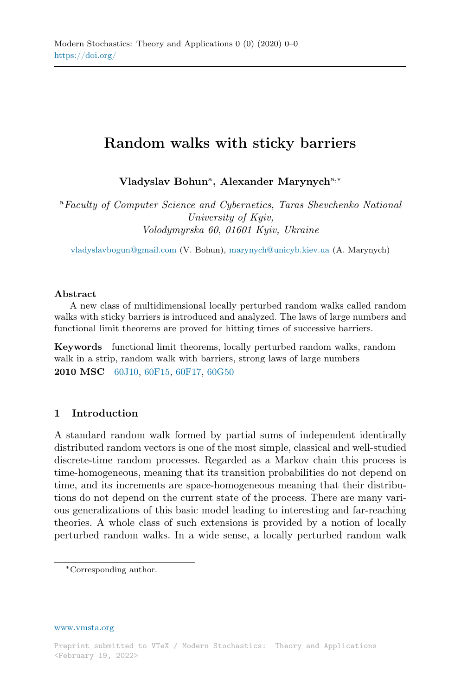# Random walks with sticky barriers

Vladyslav Bohun<sup>a</sup>, Alexander Marynych<sup>a,\*</sup>

<sup>a</sup>Faculty of Computer Science and Cybernetics, Taras Shevchenko National University of Kyiv, Volodymyrska 60, 01601 Kyiv, Ukraine

[vladyslavbogun@gmail.com](mailto:vladyslavbogun@gmail.com) (V. Bohun), [marynych@unicyb.kiev.ua](mailto:marynych@unicyb.kiev.ua) (A. Marynych)

#### Abstract

A new class of multidimensional locally perturbed random walks called random walks with sticky barriers is introduced and analyzed. The laws of large numbers and functional limit theorems are proved for hitting times of successive barriers.

Keywords functional limit theorems, locally perturbed random walks, random walk in a strip, random walk with barriers, strong laws of large numbers 2010 MSC [60J10,](http://www.ams.org/msc/msc2010.html?s=60J10) [60F15,](http://www.ams.org/msc/msc2010.html?s=60F15) [60F17,](http://www.ams.org/msc/msc2010.html?s=60F17) [60G50](http://www.ams.org/msc/msc2010.html?s=60G50)

## 1 Introduction

A standard random walk formed by partial sums of independent identically distributed random vectors is one of the most simple, classical and well-studied discrete-time random processes. Regarded as a Markov chain this process is time-homogeneous, meaning that its transition probabilities do not depend on time, and its increments are space-homogeneous meaning that their distributions do not depend on the current state of the process. There are many various generalizations of this basic model leading to interesting and far-reaching theories. A whole class of such extensions is provided by a notion of locally perturbed random walks. In a wide sense, a locally perturbed random walk

[www.vmsta.org](http://www.vmsta.org)

<sup>∗</sup>Corresponding author.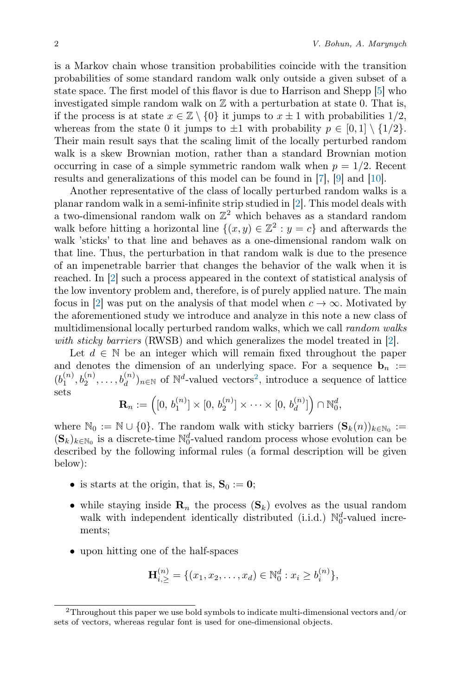is a Markov chain whose transition probabilities coincide with the transition probabilities of some standard random walk only outside a given subset of a state space. The first model of this flavor is due to Harrison and Shepp [\[5\]](#page-19-0) who investigated simple random walk on Z with a perturbation at state 0. That is, if the process is at state  $x \in \mathbb{Z} \setminus \{0\}$  it jumps to  $x \pm 1$  with probabilities  $1/2$ , whereas from the state 0 it jumps to  $\pm 1$  with probability  $p \in [0,1] \setminus \{1/2\}$ . Their main result says that the scaling limit of the locally perturbed random walk is a skew Brownian motion, rather than a standard Brownian motion occurring in case of a simple symmetric random walk when  $p = 1/2$ . Recent results and generalizations of this model can be found in [\[7\]](#page-19-1), [\[9\]](#page-19-2) and [\[10\]](#page-19-3).

Another representative of the class of locally perturbed random walks is a planar random walk in a semi-infinite strip studied in [\[2\]](#page-18-0). This model deals with a two-dimensional random walk on  $\mathbb{Z}^2$  which behaves as a standard random walk before hitting a horizontal line  $\{(x, y) \in \mathbb{Z}^2 : y = c\}$  and afterwards the walk 'sticks' to that line and behaves as a one-dimensional random walk on that line. Thus, the perturbation in that random walk is due to the presence of an impenetrable barrier that changes the behavior of the walk when it is reached. In [\[2\]](#page-18-0) such a process appeared in the context of statistical analysis of the low inventory problem and, therefore, is of purely applied nature. The main focus in [\[2\]](#page-18-0) was put on the analysis of that model when  $c \to \infty$ . Motivated by the aforementioned study we introduce and analyze in this note a new class of multidimensional locally perturbed random walks, which we call *random walks* with sticky barriers (RWSB) and which generalizes the model treated in [\[2\]](#page-18-0).

Let  $d \in \mathbb{N}$  be an integer which will remain fixed throughout the paper and denotes the dimension of an underlying space. For a sequence  $\mathbf{b}_n :=$  $(b_1^{(n)}, b_2^{(n)}, \ldots, b_d^{(n)})_{n \in \mathbb{N}}$  $(b_1^{(n)}, b_2^{(n)}, \ldots, b_d^{(n)})_{n \in \mathbb{N}}$  $(b_1^{(n)}, b_2^{(n)}, \ldots, b_d^{(n)})_{n \in \mathbb{N}}$  of  $\mathbb{N}^d$ -valued vectors<sup>2</sup>, introduce a sequence of lattice sets

$$
\mathbf{R}_n := \left( [0, b_1^{(n)}] \times [0, b_2^{(n)}] \times \cdots \times [0, b_d^{(n)}] \right) \cap \mathbb{N}_0^d,
$$

where  $\mathbb{N}_0 := \mathbb{N} \cup \{0\}$ . The random walk with sticky barriers  $(\mathbf{S}_k(n))_{k \in \mathbb{N}_0} :=$  $(\mathbf{S}_k)_{k \in \mathbb{N}_0}$  is a discrete-time  $\mathbb{N}_0^d$ -valued random process whose evolution can be described by the following informal rules (a formal description will be given below):

- is starts at the origin, that is,  $S_0 := 0$ ;
- while staying inside  $\mathbf{R}_n$  the process  $(\mathbf{S}_k)$  evolves as the usual random walk with independent identically distributed (i.i.d.)  $\mathbb{N}_0^d$ -valued increments;
- upon hitting one of the half-spaces

$$
\mathbf{H}_{i,\geq}^{(n)} = \{ (x_1, x_2, \dots, x_d) \in \mathbb{N}_0^d : x_i \geq b_i^{(n)} \},
$$

<span id="page-1-0"></span><sup>&</sup>lt;sup>2</sup>Throughout this paper we use bold symbols to indicate multi-dimensional vectors and/or sets of vectors, whereas regular font is used for one-dimensional objects.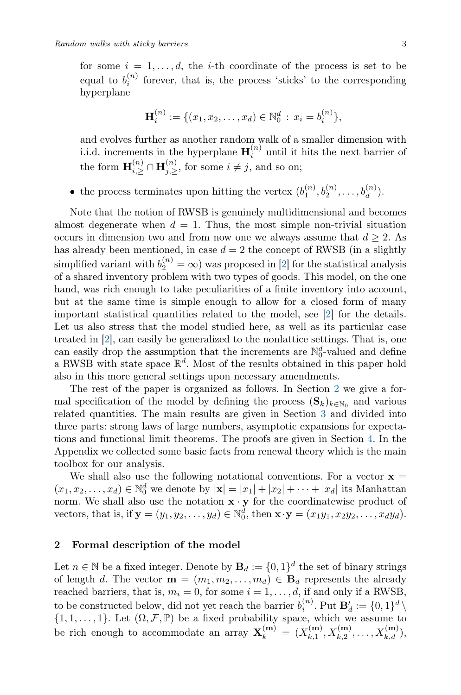for some  $i = 1, \ldots, d$ , the *i*-th coordinate of the process is set to be equal to  $b_i^{(n)}$  forever, that is, the process 'sticks' to the corresponding hyperplane

$$
\mathbf{H}_i^{(n)} := \{ (x_1, x_2, \dots, x_d) \in \mathbb{N}_0^d : x_i = b_i^{(n)} \},
$$

and evolves further as another random walk of a smaller dimension with i.i.d. increments in the hyperplane  $\mathbf{H}_i^{(n)}$  until it hits the next barrier of the form  $\mathbf{H}_{i,\geq}^{(n)} \cap \mathbf{H}_{j,\geq}^{(n)}$ , for some  $i \neq j$ , and so on;

• the process terminates upon hitting the vertex  $(b_1^{(n)}, b_2^{(n)}, \ldots, b_d^{(n)})$ .

Note that the notion of RWSB is genuinely multidimensional and becomes almost degenerate when  $d = 1$ . Thus, the most simple non-trivial situation occurs in dimension two and from now one we always assume that  $d \geq 2$ . As has already been mentioned, in case  $d = 2$  the concept of RWSB (in a slightly simplified variant with  $b_2^{(n)} = \infty$ ) was proposed in [\[2\]](#page-18-0) for the statistical analysis of a shared inventory problem with two types of goods. This model, on the one hand, was rich enough to take peculiarities of a finite inventory into account, but at the same time is simple enough to allow for a closed form of many important statistical quantities related to the model, see [\[2\]](#page-18-0) for the details. Let us also stress that the model studied here, as well as its particular case treated in [\[2\]](#page-18-0), can easily be generalized to the nonlattice settings. That is, one can easily drop the assumption that the increments are  $\mathbb{N}_0^d$ -valued and define a RWSB with state space  $\mathbb{R}^d$ . Most of the results obtained in this paper hold also in this more general settings upon necessary amendments.

The rest of the paper is organized as follows. In Section [2](#page-2-0) we give a formal specification of the model by defining the process  $(\mathbf{S}_k)_{k \in \mathbb{N}_0}$  and various related quantities. The main results are given in Section [3](#page-5-0) and divided into three parts: strong laws of large numbers, asymptotic expansions for expectations and functional limit theorems. The proofs are given in Section [4.](#page-8-0) In the Appendix we collected some basic facts from renewal theory which is the main toolbox for our analysis.

We shall also use the following notational conventions. For a vector  $x =$  $(x_1, x_2, \ldots, x_d) \in \mathbb{N}_0^d$  we denote by  $|\mathbf{x}| = |x_1| + |x_2| + \cdots + |x_d|$  its Manhattan norm. We shall also use the notation  $\mathbf{x} \cdot \mathbf{y}$  for the coordinatewise product of vectors, that is, if  $\mathbf{y} = (y_1, y_2, \dots, y_d) \in \mathbb{N}_0^d$ , then  $\mathbf{x} \cdot \mathbf{y} = (x_1y_1, x_2y_2, \dots, x_dy_d)$ .

#### <span id="page-2-0"></span>2 Formal description of the model

Let  $n \in \mathbb{N}$  be a fixed integer. Denote by  $\mathbf{B}_d := \{0,1\}^d$  the set of binary strings of length d. The vector  $\mathbf{m} = (m_1, m_2, \dots, m_d) \in \mathbf{B}_d$  represents the already reached barriers, that is,  $m_i = 0$ , for some  $i = 1, \ldots, d$ , if and only if a RWSB, to be constructed below, did not yet reach the barrier  $b_i^{(n)}$ . Put  $\mathbf{B}'_d := \{0,1\}^d \setminus$  $\{1, 1, \ldots, 1\}$ . Let  $(\Omega, \mathcal{F}, \mathbb{P})$  be a fixed probability space, which we assume to be rich enough to accommodate an array  $\mathbf{X}_k^{(\mathbf{m})} = (X_{k,1}^{(\mathbf{m})})$  $X_{k,1}^{(m)}, X_{k,2}^{(m)}, \ldots, X_{k,d}^{(m)}),$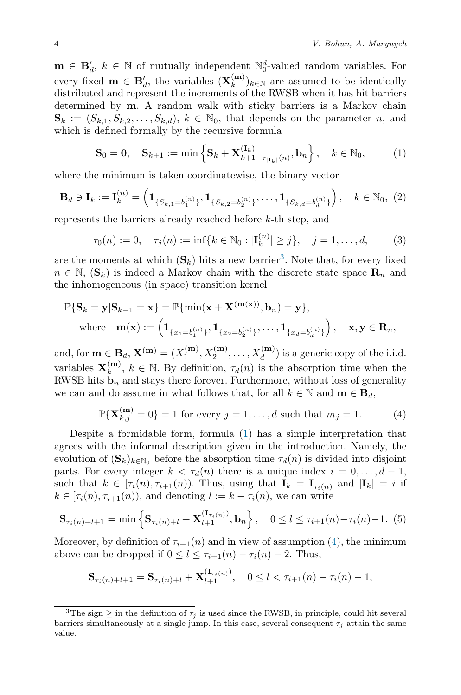$\mathbf{m} \in \mathbf{B}'_d$ ,  $k \in \mathbb{N}$  of mutually independent  $\mathbb{N}_0^d$ -valued random variables. For every fixed  $\mathbf{m} \in \mathbf{B}'_d$ , the variables  $(\mathbf{X}_k^{(\mathbf{m})})$  $\binom{m}{k}$ <sub>k∈N</sub> are assumed to be identically distributed and represent the increments of the RWSB when it has hit barriers determined by m. A random walk with sticky barriers is a Markov chain  $\mathbf{S}_k := (S_{k,1}, S_{k,2}, \ldots, S_{k,d}), k \in \mathbb{N}_0$ , that depends on the parameter n, and which is defined formally by the recursive formula

<span id="page-3-1"></span>
$$
\mathbf{S}_0 = \mathbf{0}, \quad \mathbf{S}_{k+1} := \min\left\{ \mathbf{S}_k + \mathbf{X}_{k+1-\tau_{|\mathbf{I}_k|}(n)}^{(\mathbf{I}_k)}, \mathbf{b}_n \right\}, \quad k \in \mathbb{N}_0, \tag{1}
$$

where the minimum is taken coordinatewise, the binary vector

$$
\mathbf{B}_d \ni \mathbf{I}_k := \mathbf{I}_k^{(n)} = \left(\mathbf{1}_{\{S_{k,1}=b_1^{(n)}\}}, \mathbf{1}_{\{S_{k,2}=b_2^{(n)}\}}, \dots, \mathbf{1}_{\{S_{k,d}=b_d^{(n)}\}}\right), \quad k \in \mathbb{N}_0, (2)
$$

represents the barriers already reached before k-th step, and

<span id="page-3-3"></span>
$$
\tau_0(n) := 0, \quad \tau_j(n) := \inf\{k \in \mathbb{N}_0 : |\mathbf{I}_k^{(n)}| \ge j\}, \quad j = 1, \dots, d,
$$
 (3)

are the moments at which  $(\mathbf{S}_k)$  hits a new barrier<sup>[3](#page-3-0)</sup>. Note that, for every fixed  $n \in \mathbb{N}$ ,  $(\mathbf{S}_k)$  is indeed a Markov chain with the discrete state space  $\mathbf{R}_n$  and the inhomogeneous (in space) transition kernel

$$
\mathbb{P}\{\mathbf{S}_k = \mathbf{y} | \mathbf{S}_{k-1} = \mathbf{x}\} = \mathbb{P}\{\min(\mathbf{x} + \mathbf{X}^{(\mathbf{m}(\mathbf{x}))}, \mathbf{b}_n) = \mathbf{y}\},\
$$
  
where  $\mathbf{m}(\mathbf{x}) := \left(\mathbf{1}_{\{x_1 = b_1^{(n)}\}}, \mathbf{1}_{\{x_2 = b_2^{(n)}\}}, \dots, \mathbf{1}_{\{x_d = b_d^{(n)}\}}\right), \mathbf{x}, \mathbf{y} \in \mathbf{R}_n,$ 

and, for  $\mathbf{m} \in \mathbf{B}_d$ ,  $\mathbf{X}^{(\mathbf{m})} = (X_1^{(\mathbf{m})}, X_2^{(\mathbf{m})}, \dots, X_d^{(\mathbf{m})})$  is a generic copy of the i.i.d. variables  $\mathbf{X}_k^{(m)}$  $\binom{m}{k}$ ,  $k \in \mathbb{N}$ . By definition,  $\tau_d(n)$  is the absorption time when the RWSB hits  $\mathbf{b}_n$  and stays there forever. Furthermore, without loss of generality we can and do assume in what follows that, for all  $k \in \mathbb{N}$  and  $\mathbf{m} \in \mathbf{B}_d$ ,

<span id="page-3-2"></span>
$$
\mathbb{P}\{\mathbf{X}_{k,j}^{(\mathbf{m})} = 0\} = 1 \text{ for every } j = 1, ..., d \text{ such that } m_j = 1.
$$
 (4)

Despite a formidable form, formula [\(1\)](#page-3-1) has a simple interpretation that agrees with the informal description given in the introduction. Namely, the evolution of  $(\mathbf{S}_k)_{k \in \mathbb{N}_0}$  before the absorption time  $\tau_d(n)$  is divided into disjoint parts. For every integer  $k < \tau_d(n)$  there is a unique index  $i = 0, \ldots, d - 1$ , such that  $k \in [\tau_i(n), \tau_{i+1}(n)]$ . Thus, using that  $\mathbf{I}_k = \mathbf{I}_{\tau_i(n)}$  and  $|\mathbf{I}_k| = i$  if  $k \in [\tau_i(n), \tau_{i+1}(n))$ , and denoting  $l := k - \tau_i(n)$ , we can write

$$
\mathbf{S}_{\tau_i(n)+l+1} = \min\left\{\mathbf{S}_{\tau_i(n)+l} + \mathbf{X}_{l+1}^{(\mathbf{I}_{\tau_i(n)})}, \mathbf{b}_n\right\}, \quad 0 \le l \le \tau_{i+1}(n) - \tau_i(n) - 1. \tag{5}
$$

Moreover, by definition of  $\tau_{i+1}(n)$  and in view of assumption [\(4\)](#page-3-2), the minimum above can be dropped if  $0 \leq l \leq \tau_{i+1}(n) - \tau_i(n) - 2$ . Thus,

$$
\mathbf{S}_{\tau_i(n)+l+1} = \mathbf{S}_{\tau_i(n)+l} + \mathbf{X}_{l+1}^{(\mathbf{I}_{\tau_i(n)})}, \quad 0 \le l < \tau_{i+1}(n) - \tau_i(n) - 1,
$$

<span id="page-3-0"></span><sup>&</sup>lt;sup>3</sup>The sign  $\geq$  in the definition of  $\tau_i$  is used since the RWSB, in principle, could hit several barriers simultaneously at a single jump. In this case, several consequent  $\tau_i$  attain the same value.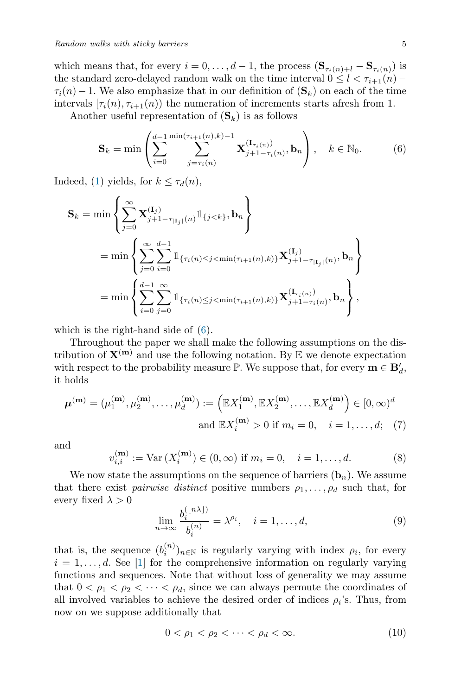which means that, for every  $i = 0, \ldots, d - 1$ , the process  $(\mathbf{S}_{\tau_i(n)+l} - \mathbf{S}_{\tau_i(n)})$  is the standard zero-delayed random walk on the time interval  $0 \leq l < \tau_{i+1}(n)$  –  $\tau_i(n) - 1$ . We also emphasize that in our definition of  $(\mathbf{S}_k)$  on each of the time intervals  $[\tau_i(n), \tau_{i+1}(n)]$  the numeration of increments starts afresh from 1.

Another useful representation of  $(\mathbf{S}_k)$  is as follows

<span id="page-4-0"></span>
$$
\mathbf{S}_{k} = \min \left( \sum_{i=0}^{d-1} \sum_{j=\tau_{i}(n)}^{\min(\tau_{i+1}(n),k)-1} \mathbf{X}_{j+1-\tau_{i}(n)}^{(\mathbf{I}_{\tau_{i}(n)})}, \mathbf{b}_{n} \right), \quad k \in \mathbb{N}_{0}.
$$
 (6)

Indeed, [\(1\)](#page-3-1) yields, for  $k \leq \tau_d(n)$ ,

$$
\mathbf{S}_{k} = \min \left\{ \sum_{j=0}^{\infty} \mathbf{X}_{j+1-\tau_{|\mathbf{I}_{j}|}(n)}^{(\mathbf{I}_{j})} \mathbbm{1}_{\{j < k\}}, \mathbf{b}_{n} \right\}
$$
\n
$$
= \min \left\{ \sum_{j=0}^{\infty} \sum_{i=0}^{d-1} \mathbbm{1}_{\{\tau_{i}(n) \leq j < \min(\tau_{i+1}(n), k)\}} \mathbf{X}_{j+1-\tau_{|\mathbf{I}_{j}|}(n)}^{(\mathbf{I}_{j})}, \mathbf{b}_{n} \right\}
$$
\n
$$
= \min \left\{ \sum_{i=0}^{d-1} \sum_{j=0}^{\infty} \mathbbm{1}_{\{\tau_{i}(n) \leq j < \min(\tau_{i+1}(n), k)\}} \mathbf{X}_{j+1-\tau_{i}(n)}^{(\mathbf{I}_{\tau_{i}(n)})}, \mathbf{b}_{n} \right\},
$$

which is the right-hand side of [\(6\)](#page-4-0).

Throughout the paper we shall make the following assumptions on the distribution of  $X^{(m)}$  and use the following notation. By  $E$  we denote expectation with respect to the probability measure  $\mathbb{P}$ . We suppose that, for every  $\mathbf{m} \in \mathbf{B}'_d$ , it holds

$$
\boldsymbol{\mu}^{(\mathbf{m})} = (\mu_1^{(\mathbf{m})}, \mu_2^{(\mathbf{m})}, \dots, \mu_d^{(\mathbf{m})}) := \left( \mathbb{E} X_1^{(\mathbf{m})}, \mathbb{E} X_2^{(\mathbf{m})}, \dots, \mathbb{E} X_d^{(\mathbf{m})} \right) \in [0, \infty)^d
$$
  
and 
$$
\mathbb{E} X_i^{(\mathbf{m})} > 0 \text{ if } m_i = 0, \quad i = 1, \dots, d; \quad (7)
$$

and

<span id="page-4-3"></span>
$$
v_{i,i}^{(m)} := \text{Var}\,(X_i^{(m)}) \in (0,\infty) \text{ if } m_i = 0, \quad i = 1,\dots,d. \tag{8}
$$

We now state the assumptions on the sequence of barriers  $(b_n)$ . We assume that there exist *pairwise distinct* positive numbers  $\rho_1, \ldots, \rho_d$  such that, for every fixed  $\lambda > 0$ 

<span id="page-4-1"></span>
$$
\lim_{n \to \infty} \frac{b_i^{(\lfloor n\lambda \rfloor)}}{b_i^{(n)}} = \lambda^{\rho_i}, \quad i = 1, \dots, d,
$$
\n(9)

that is, the sequence  $(b_i^{(n)})_{n\in\mathbb{N}}$  is regularly varying with index  $\rho_i$ , for every  $i = 1, \ldots, d$ . See [\[1\]](#page-18-1) for the comprehensive information on regularly varying functions and sequences. Note that without loss of generality we may assume that  $0 < \rho_1 < \rho_2 < \cdots < \rho_d$ , since we can always permute the coordinates of all involved variables to achieve the desired order of indices  $\rho_i$ 's. Thus, from now on we suppose additionally that

<span id="page-4-2"></span>
$$
0 < \rho_1 < \rho_2 < \dots < \rho_d < \infty. \tag{10}
$$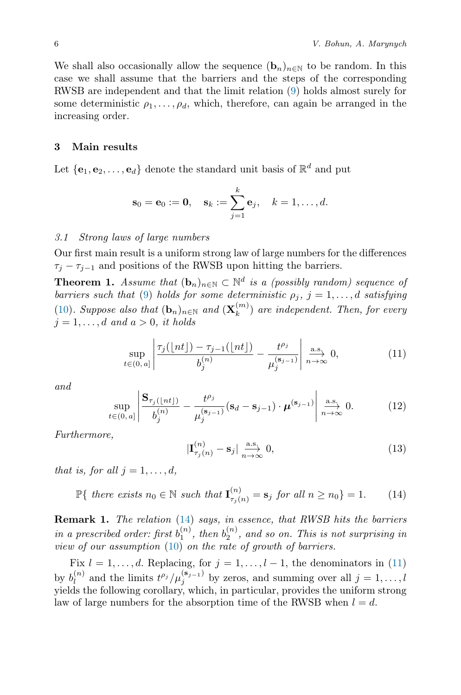We shall also occasionally allow the sequence  $(\mathbf{b}_n)_{n\in\mathbb{N}}$  to be random. In this case we shall assume that the barriers and the steps of the corresponding RWSB are independent and that the limit relation [\(9\)](#page-4-1) holds almost surely for some deterministic  $\rho_1, \ldots, \rho_d$ , which, therefore, can again be arranged in the increasing order.

### <span id="page-5-0"></span>3 Main results

Let  $\{e_1, e_2, \ldots, e_d\}$  denote the standard unit basis of  $\mathbb{R}^d$  and put

$$
\mathbf{s}_0 = \mathbf{e}_0 := \mathbf{0}, \quad \mathbf{s}_k := \sum_{j=1}^k \mathbf{e}_j, \quad k = 1, \dots, d.
$$

#### 3.1 Strong laws of large numbers

Our first main result is a uniform strong law of large numbers for the differences  $\tau_j - \tau_{j-1}$  and positions of the RWSB upon hitting the barriers.

<span id="page-5-3"></span>**Theorem 1.** Assume that  $(b_n)_{n \in \mathbb{N}} \subset \mathbb{N}^d$  is a (possibly random) sequence of barriers such that [\(9\)](#page-4-1) holds for some deterministic  $\rho_j$ ,  $j = 1, \ldots, d$  satisfying [\(10\)](#page-4-2). Suppose also that  $(\mathbf{b}_n)_{n \in \mathbb{N}}$  and  $(\mathbf{X}_k^{(m)})$  $\binom{m}{k}$  are independent. Then, for every  $j = 1, \ldots, d$  and  $a > 0$ , it holds

<span id="page-5-2"></span>
$$
\sup_{t \in (0, a]} \left| \frac{\tau_j(\lfloor nt \rfloor) - \tau_{j-1}(\lfloor nt \rfloor)}{b_j^{(n)}} - \frac{t^{\rho_j}}{\mu_j^{(\mathbf{s}_{j-1})}} \right| \xrightarrow[n \to \infty]{\text{a.s.}} 0,
$$
\n(11)

and

<span id="page-5-5"></span>
$$
\sup_{t\in(0,a]}\left|\frac{\mathbf{S}_{\tau_j(\lfloor nt\rfloor)}}{b_j^{(n)}}-\frac{t^{\rho_j}}{\mu_j^{(\mathbf{s}_{j-1})}}(\mathbf{s}_d-\mathbf{s}_{j-1})\cdot\boldsymbol{\mu}^{(\mathbf{s}_{j-1})}\right|\overset{\text{a.s.}}{\underset{n\to\infty}{\longrightarrow}}0.\tag{12}
$$

Furthermore,

<span id="page-5-4"></span>
$$
|\mathbf{I}_{\tau_j(n)}^{(n)} - \mathbf{s}_j| \underset{n \to \infty}{\xrightarrow{\text{a.s.}}} 0,
$$
\n(13)

that is, for all  $i = 1, \ldots, d$ ,

<span id="page-5-1"></span> $\mathbb{P}\{\text{ there exists }n_0 \in \mathbb{N} \text{ such that } \mathbf{I}_{\tau_j(n)}^{(n)} = \mathbf{s}_j \text{ for all }n \geq n_0\} = 1.$  (14)

Remark 1. The relation [\(14\)](#page-5-1) says, in essence, that RWSB hits the barriers in a prescribed order: first  $b_1^{(n)}$ , then  $b_2^{(n)}$ , and so on. This is not surprising in view of our assumption [\(10\)](#page-4-2) on the rate of growth of barriers.

Fix  $l = 1, ..., d$ . Replacing, for  $j = 1, ..., l - 1$ , the denominators in [\(11\)](#page-5-2) by  $b_l^{(n)}$  $\ell_l^{(n)}$  and the limits  $t^{\rho_j}/\mu_j^{(\mathbf{s}_{j-1})}$  by zeros, and summing over all  $j=1,\ldots,l$ yields the following corollary, which, in particular, provides the uniform strong law of large numbers for the absorption time of the RWSB when  $l = d$ .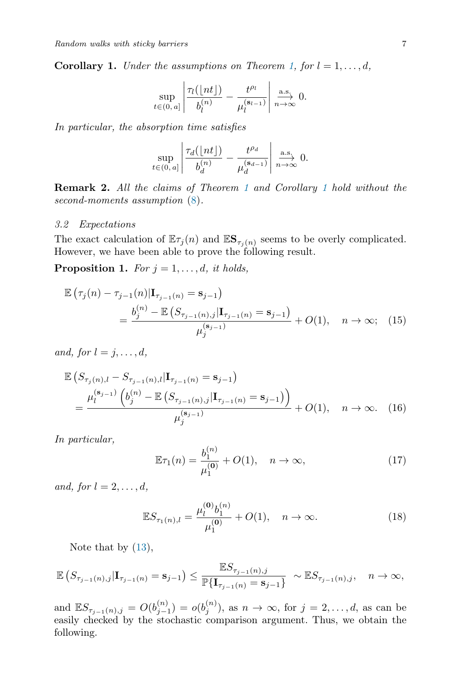<span id="page-6-0"></span>**Corollary 1.** Under the assumptions on Theorem [1,](#page-5-3) for  $l = 1, \ldots, d$ ,

$$
\sup_{t\in(0,\,a]}\left|\frac{\tau_l(\lfloor nt\rfloor)}{b_l^{(n)}}-\frac{t^{\rho_l}}{\mu_l^{(s_{l-1})}}\right|\overset{\text{a.s.}}{\underset{n\to\infty}\longrightarrow}0.
$$

In particular, the absorption time satisfies

$$
\sup_{t \in (0, a]} \left| \frac{\tau_d(\lfloor nt \rfloor)}{b_d^{(n)}} - \frac{t^{\rho_d}}{\mu_d^{(\mathbf{s}_{d-1})}} \right| \xrightarrow[n \to \infty]{\text{a.s.}} 0.
$$

**Remark 2.** All the claims of Theorem [1](#page-6-0) and Corollary 1 hold without the second-moments assumption  $(8)$ .

#### 3.2 Expectations

The exact calculation of  $\mathbb{E} \tau_j(n)$  and  $\mathbb{E} \mathbf{S}_{\tau_j(n)}$  seems to be overly complicated. However, we have been able to prove the following result.

<span id="page-6-1"></span>**Proposition 1.** For  $j = 1, \ldots, d$ , it holds,

$$
\mathbb{E} \left( \tau_j(n) - \tau_{j-1}(n) | \mathbf{I}_{\tau_{j-1}(n)} = \mathbf{s}_{j-1} \right)
$$
\n
$$
= \frac{b_j^{(n)} - \mathbb{E} \left( S_{\tau_{j-1}(n),j} | \mathbf{I}_{\tau_{j-1}(n)} = \mathbf{s}_{j-1} \right)}{\mu_j^{(\mathbf{s}_{j-1})}} + O(1), \quad n \to \infty; \quad (15)
$$

and, for  $l = j, \ldots, d$ ,

$$
\mathbb{E}\left(S_{\tau_j(n),l} - S_{\tau_{j-1}(n),l}|\mathbf{I}_{\tau_{j-1}(n)} = \mathbf{s}_{j-1}\right)
$$
\n
$$
= \frac{\mu_l^{(\mathbf{s}_{j-1})}\left(b_j^{(n)} - \mathbb{E}\left(S_{\tau_{j-1}(n),j}|\mathbf{I}_{\tau_{j-1}(n)} = \mathbf{s}_{j-1}\right)\right)}{\mu_j^{(\mathbf{s}_{j-1})}} + O(1), \quad n \to \infty. \quad (16)
$$

In particular,

$$
\mathbb{E}\tau_1(n) = \frac{b_1^{(n)}}{\mu_1^{(0)}} + O(1), \quad n \to \infty,
$$
 (17)

and, for  $l = 2, \ldots, d$ ,

<span id="page-6-2"></span>
$$
\mathbb{E}S_{\tau_1(n),l} = \frac{\mu_l^{(\mathbf{0})} b_1^{(n)}}{\mu_1^{(\mathbf{0})}} + O(1), \quad n \to \infty.
$$
 (18)

Note that by  $(13)$ ,

$$
\mathbb{E}\left(S_{\tau_{j-1}(n),j}|{\bf I}_{\tau_{j-1}(n)}= {\bf s}_{j-1}\right)\leq \frac{\mathbb{E}S_{\tau_{j-1}(n),j}}{\mathbb{P}\{{\bf I}_{\tau_{j-1}(n)}= {\bf s}_{j-1}\}} \sim \mathbb{E}S_{\tau_{j-1}(n),j}, \quad n\to \infty,
$$

and  $\mathbb{E}S_{\tau_{j-1}(n),j} = O(b_{j-1}^{(n)}) = o(b_j^{(n)})$ , as  $n \to \infty$ , for  $j = 2, ..., d$ , as can be easily checked by the stochastic comparison argument. Thus, we obtain the following.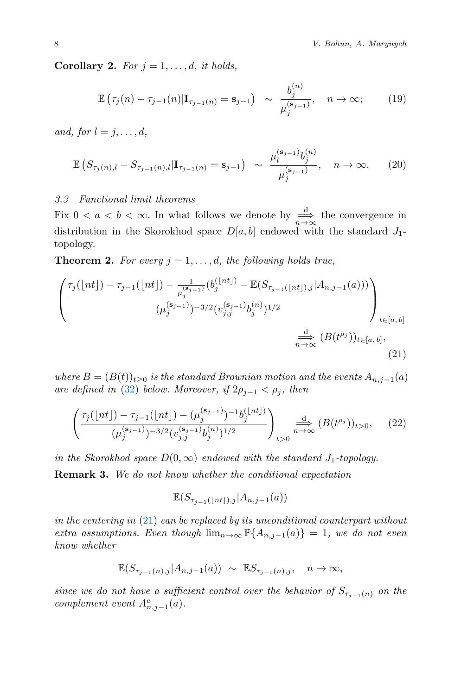Corollary 2. For  $j = 1, \ldots, d$ , it holds,

$$
\mathbb{E}\left(\tau_j(n) - \tau_{j-1}(n)|\mathbf{I}_{\tau_{j-1}(n)} = \mathbf{s}_{j-1}\right) \sim \frac{b_j^{(n)}}{\mu_j^{(\mathbf{s}_{j-1})}}, \quad n \to \infty;
$$
 (19)

and, for  $l = j, \ldots, d$ ,

$$
\mathbb{E}\left(S_{\tau_j(n),l} - S_{\tau_{j-1}(n),l}|\mathbf{I}_{\tau_{j-1}(n)} = \mathbf{s}_{j-1}\right) \sim \frac{\mu_l^{(\mathbf{s}_{j-1})}b_j^{(n)}}{\mu_j^{(\mathbf{s}_{j-1})}}, \quad n \to \infty. \tag{20}
$$

#### 3.3 Functional limit theorems

Fix  $0 < a < b < \infty$ . In what follows we denote by  $\frac{d}{n\to\infty}$  the convergence in distribution in the Skorokhod space  $D[a, b]$  endowed with the standard  $J_1$ topology.

<span id="page-7-1"></span>**Theorem 2.** For every  $j = 1, \ldots, d$ , the following holds true,

$$
\left(\frac{\tau_j(\lfloor nt \rfloor) - \tau_{j-1}(\lfloor nt \rfloor) - \frac{1}{\mu_j^{(s_{j-1})}}(b_j^{\lfloor nt \rfloor)} - \mathbb{E}(S_{\tau_{j-1}(\lfloor nt \rfloor),j}|A_{n,j-1}(a)))}{(\mu_j^{(s_{j-1})})^{-3/2}(v_{j,j}^{(s_{j-1})}b_j^{(n)})^{1/2}}\right)_{t \in [a,b]} \xrightarrow[n \to \infty]{\frac{d}{n \to \infty}} (B(t^{\rho_j}))_{t \in [a,b]},
$$
\n(21)

where  $B = (B(t))_{t\geq 0}$  is the standard Brownian motion and the events  $A_{n,j-1}(a)$ are defined in [\(32\)](#page-9-0) below. Moreover, if  $2\rho_{j-1} < \rho_j$ , then

<span id="page-7-2"></span>
$$
\left(\frac{\tau_j(\lfloor nt \rfloor) - \tau_{j-1}(\lfloor nt \rfloor) - (\mu_j^{(\mathbf{s}_{j-1})})^{-1} b_j^{(\lfloor nt \rfloor)}}{(\mu_j^{(\mathbf{s}_{j-1})})^{-3/2} (v_{j,j}^{(\mathbf{s}_{j-1})} b_j^{(n)})^{1/2}}\right)_{t>0} \xrightarrow{n \to \infty} \left(B(t^{\rho_j})\right)_{t>0}, \quad (22)
$$

in the Skorokhod space  $D(0,\infty)$  endowed with the standard  $J_1$ -topology.

**Remark 3.** We do not know whether the conditional expectation

<span id="page-7-0"></span>
$$
\mathbb{E}(S_{\tau_{j-1}(\lfloor nt \rfloor),j}|A_{n,j-1}(a))
$$

in the centering in [\(21\)](#page-7-0) can be replaced by its unconditional counterpart without extra assumptions. Even though  $\lim_{n\to\infty} \mathbb{P}\{A_{n,j-1}(a)\} = 1$ , we do not even know whether

$$
\mathbb{E}(S_{\tau_{j-1}(n),j}|A_{n,j-1}(a)) \sim \mathbb{E}S_{\tau_{j-1}(n),j}, \quad n \to \infty,
$$

since we do not have a sufficient control over the behavior of  $S_{\tau_{i-1}(n)}$  on the complement event  $A_{n,j-1}^c(a)$ .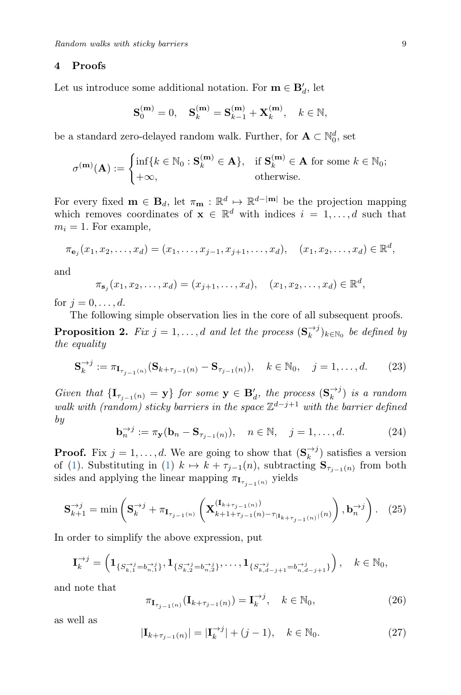#### <span id="page-8-0"></span>4 Proofs

Let us introduce some additional notation. For  $\mathbf{m} \in \mathbf{B}'_d$ , let

$$
\mathbf{S}_0^{(\mathbf{m})}=0,\quad \mathbf{S}_k^{(\mathbf{m})}=\mathbf{S}_{k-1}^{(\mathbf{m})}+\mathbf{X}_k^{(\mathbf{m})},\quad k\in\mathbb{N},
$$

be a standard zero-delayed random walk. Further, for  $\mathbf{A} \subset \mathbb{N}_0^d,$  set

$$
\sigma^{(\mathbf{m})}(\mathbf{A}) := \begin{cases} \inf\{k \in \mathbb{N}_0 : \mathbf{S}_k^{(\mathbf{m})} \in \mathbf{A}\}, & \text{if } \mathbf{S}_k^{(\mathbf{m})} \in \mathbf{A} \text{ for some } k \in \mathbb{N}_0; \\ +\infty, & \text{otherwise.} \end{cases}
$$

For every fixed  $\mathbf{m} \in \mathbf{B}_d$ , let  $\pi_{\mathbf{m}} : \mathbb{R}^d \mapsto \mathbb{R}^{d-|\mathbf{m}|}$  be the projection mapping which removes coordinates of  $\mathbf{x} \in \mathbb{R}^d$  with indices  $i = 1, \ldots, d$  such that  $m_i = 1$ . For example,

$$
\pi_{\mathbf{e}_j}(x_1, x_2, \dots, x_d) = (x_1, \dots, x_{j-1}, x_{j+1}, \dots, x_d), \quad (x_1, x_2, \dots, x_d) \in \mathbb{R}^d,
$$

and

$$
\pi_{\mathbf{s}_j}(x_1, x_2, \dots, x_d) = (x_{j+1}, \dots, x_d), \quad (x_1, x_2, \dots, x_d) \in \mathbb{R}^d,
$$

for  $j = 0, \ldots, d$ .

The following simple observation lies in the core of all subsequent proofs.

<span id="page-8-4"></span>**Proposition 2.** Fix  $j = 1, ..., d$  and let the process  $(\mathbf{S}_k^{\rightarrow j})_{k \in \mathbb{N}_0}$  be defined by the equality

$$
\mathbf{S}_{k}^{\to j} := \pi_{\mathbf{I}_{\tau_{j-1}(n)}} (\mathbf{S}_{k+\tau_{j-1}(n)} - \mathbf{S}_{\tau_{j-1}(n)}), \quad k \in \mathbb{N}_{0}, \quad j = 1, \dots, d. \tag{23}
$$

Given that  $\{I_{\tau_{j-1}(n)} = y\}$  for some  $y \in B'_d$ , the process  $(S_k^{\rightarrow j})$  is a random walk with (random) sticky barriers in the space  $\mathbb{Z}^{d-j+1}$  with the barrier defined by

$$
\mathbf{b}_n^{\rightarrow j} := \pi_{\mathbf{y}}(\mathbf{b}_n - \mathbf{S}_{\tau_{j-1}(n)}), \quad n \in \mathbb{N}, \quad j = 1, \dots, d. \tag{24}
$$

**Proof.** Fix  $j = 1, ..., d$ . We are going to show that  $(\mathbf{S}_k^{\rightarrow j})$  satisfies a version of [\(1\)](#page-3-1). Substituting in (1)  $k \mapsto k + \tau_{j-1}(n)$ , subtracting  $\mathbf{S}_{\tau_{j-1}(n)}$  from both sides and applying the linear mapping  $\pi_{\mathbf{I}_{\tau_{j-1}(n)}}$  yields

<span id="page-8-3"></span>
$$
\mathbf{S}_{k+1}^{\to j} = \min\left(\mathbf{S}_{k}^{\to j} + \pi_{\mathbf{I}_{\tau_{j-1}(n)}}\left(\mathbf{X}_{k+1+\tau_{j-1}(n)-\tau_{|\mathbf{I}_{k+\tau_{j-1}(n)}|}^{(\mathbf{I}_{k+\tau_{j-1}(n)})}}\right), \mathbf{b}_{n}^{\to j}\right). (25)
$$

In order to simplify the above expression, put

$$
\mathbf{I}_{k}^{\to j} = \left(\mathbf{1}_{\{S_{k,1}^{\to j} = b_{n,1}^{\to j}\}}, \mathbf{1}_{\{S_{k,2}^{\to j} = b_{n,2}^{\to j}\}}, \dots, \mathbf{1}_{\{S_{k,d-j+1}^{\to j} = b_{n,d-j+1}^{\to j}\}}\right), \quad k \in \mathbb{N}_0,
$$

and note that

<span id="page-8-1"></span>
$$
\pi_{\mathbf{I}_{\tau_{j-1}(n)}}(\mathbf{I}_{k+\tau_{j-1}(n)}) = \mathbf{I}_{k}^{\to j}, \quad k \in \mathbb{N}_{0},\tag{26}
$$

as well as

<span id="page-8-2"></span>
$$
|\mathbf{I}_{k+\tau_{j-1}(n)}| = |\mathbf{I}_k^{\to j}| + (j-1), \quad k \in \mathbb{N}_0.
$$
 (27)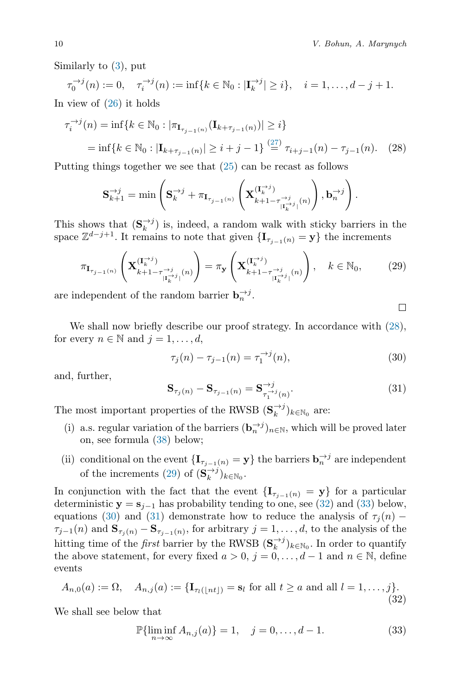Similarly to [\(3\)](#page-3-3), put

 $\tau_0^{-\to j}(n) := 0, \quad \tau_i^{-\to j}(n) := \inf\{k \in \mathbb{N}_0 : |\mathbf{I}_k^{-\to j}| \geq i\}, \quad i = 1, \dots, d - j + 1.$ In view of  $(26)$  it holds

$$
\tau_i^{-j}(n) = \inf \{ k \in \mathbb{N}_0 : |\pi_{\mathbf{I}_{\tau_{j-1}(n)}}(\mathbf{I}_{k+\tau_{j-1}(n)})| \ge i \}
$$
  
=  $\inf \{ k \in \mathbb{N}_0 : |\mathbf{I}_{k+\tau_{j-1}(n)}| \ge i+j-1 \} \stackrel{(27)}{=} \tau_{i+j-1}(n) - \tau_{j-1}(n).$  (28)

Putting things together we see that [\(25\)](#page-8-3) can be recast as follows

$$
\mathbf{S}_{k+1}^{\rightarrow j} = \min\left(\mathbf{S}_{k}^{\rightarrow j} + \pi_{\mathbf{I}_{\tau_{j-1}(n)}}\left(\mathbf{X}_{k+1-\tau_{|\mathbf{I}_{k}^{\rightarrow j}|}(\mathbf{n})}^{(\mathbf{I}_{k}^{\rightarrow j})}\right), \mathbf{b}_{n}^{\rightarrow j}\right).
$$

This shows that  $(\mathbf{S}_k^{\rightarrow j})$  is, indeed, a random walk with sticky barriers in the space  $\mathbb{Z}^{d-j+1}$ . It remains to note that given  $\{\mathbf I_{\tau_{j-1}(n)} = \mathbf y\}$  the increments

<span id="page-9-2"></span>
$$
\pi_{\mathbf{I}_{\tau_{j-1}(n)}}\left(\mathbf{X}_{k+1-\tau_{|\mathbf{I}_{k}^{-\lambda_{j}}|}^{(\mathbf{I}_{k}^{-\lambda})}(n)}\right)=\pi_{\mathbf{y}}\left(\mathbf{X}_{k+1-\tau_{|\mathbf{I}_{k}^{-\lambda_{j}}|}^{(\mathbf{I}_{k}^{-\lambda})}(n)}\right), \quad k \in \mathbb{N}_{0},\tag{29}
$$

are independent of the random barrier  $\mathbf{b}_n^{\rightarrow j}$ .

<span id="page-9-1"></span>□

We shall now briefly describe our proof strategy. In accordance with  $(28)$ , for every  $n \in \mathbb{N}$  and  $j = 1, \ldots, d$ ,

<span id="page-9-4"></span>
$$
\tau_j(n) - \tau_{j-1}(n) = \tau_1^{\to j}(n),\tag{30}
$$

and, further,

<span id="page-9-5"></span>
$$
\mathbf{S}_{\tau_j(n)} - \mathbf{S}_{\tau_{j-1}(n)} = \mathbf{S}_{\tau_1^{\to j}(n)}^{\to j}.
$$
 (31)

The most important properties of the RWSB  $(\mathbf{S}_k^{\rightarrow j})_{k \in \mathbb{N}_0}$  are:

- (i) a.s. regular variation of the barriers  $(\mathbf{b}_n^{\rightarrow j})_{n \in \mathbb{N}}$ , which will be proved later on, see formula [\(38\)](#page-11-0) below;
- (ii) conditional on the event  $\{\mathbf I_{\tau_{j-1}(n)} = \mathbf y\}$  the barriers  $\mathbf b_n^{\to j}$  are independent of the increments [\(29\)](#page-9-2) of  $(\mathbf{S}_k^{\rightarrow j})_{k \in \mathbb{N}_0}$ .

In conjunction with the fact that the event  $\{I_{\tau_{j-1}(n)} = y\}$  for a particular deterministic  $y = s_{j-1}$  has probability tending to one, see [\(32\)](#page-9-0) and [\(33\)](#page-9-3) below, equations [\(30\)](#page-9-4) and [\(31\)](#page-9-5) demonstrate how to reduce the analysis of  $\tau_j(n)$  –  $\tau_{j-1}(n)$  and  $\mathbf{S}_{\tau_j(n)} - \mathbf{S}_{\tau_{j-1}(n)}$ , for arbitrary  $j = 1, \ldots, d$ , to the analysis of the hitting time of the *first* barrier by the RWSB  $(\mathbf{S}_k^{\rightarrow j})_{k \in \mathbb{N}_0}$ . In order to quantify the above statement, for every fixed  $a > 0$ ,  $j = 0, \ldots, d - 1$  and  $n \in \mathbb{N}$ , define events

<span id="page-9-0"></span>
$$
A_{n,0}(a) := \Omega, \quad A_{n,j}(a) := \{ \mathbf{I}_{\tau_l(\lfloor nt \rfloor)} = \mathbf{s}_l \text{ for all } t \ge a \text{ and all } l = 1, \dots, j \}.
$$
\n(32)

We shall see below that

<span id="page-9-3"></span>
$$
\mathbb{P}\{\liminf_{n \to \infty} A_{n,j}(a)\} = 1, \quad j = 0, \dots, d - 1.
$$
 (33)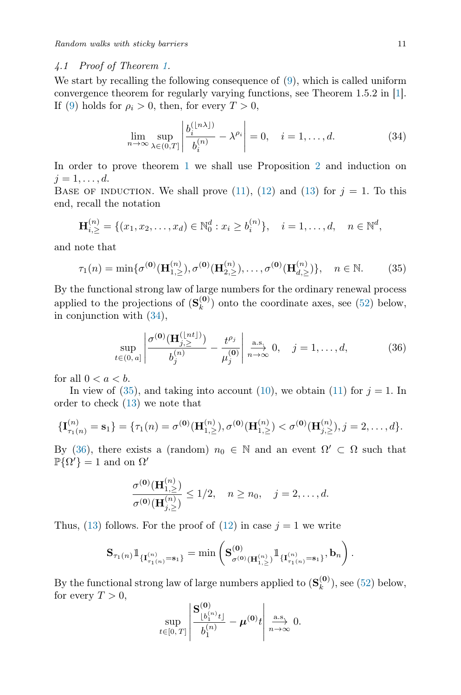#### 4.1 Proof of Theorem [1.](#page-5-3)

We start by recalling the following consequence of [\(9\)](#page-4-1), which is called uniform convergence theorem for regularly varying functions, see Theorem 1.5.2 in [\[1\]](#page-18-1). If [\(9\)](#page-4-1) holds for  $\rho_i > 0$ , then, for every  $T > 0$ ,

<span id="page-10-0"></span>
$$
\lim_{n \to \infty} \sup_{\lambda \in (0,T]} \left| \frac{b_i^{(\lfloor n\lambda \rfloor)}}{b_i^{(n)}} - \lambda^{\rho_i} \right| = 0, \quad i = 1, \dots, d. \tag{34}
$$

In order to prove theorem [1](#page-5-3) we shall use Proposition [2](#page-8-4) and induction on  $i=1,\ldots,d.$ 

BASE OF INDUCTION. We shall prove [\(11\)](#page-5-2), [\(12\)](#page-5-5) and [\(13\)](#page-5-4) for  $j = 1$ . To this end, recall the notation

$$
\mathbf{H}_{i,\geq}^{(n)} = \{ (x_1, x_2, \dots, x_d) \in \mathbb{N}_0^d : x_i \geq b_i^{(n)} \}, \quad i = 1, \dots, d, \quad n \in \mathbb{N}^d,
$$

and note that

<span id="page-10-1"></span>
$$
\tau_1(n) = \min \{ \sigma^{(0)}(\mathbf{H}_{1,\geq}^{(n)}), \sigma^{(0)}(\mathbf{H}_{2,\geq}^{(n)}), \dots, \sigma^{(0)}(\mathbf{H}_{d,\geq}^{(n)}) \}, \quad n \in \mathbb{N}.
$$
 (35)

By the functional strong law of large numbers for the ordinary renewal process applied to the projections of  $(\mathbf{S}_k^{(0)})$  $\binom{(\mathbf{U})}{k}$  onto the coordinate axes, see [\(52\)](#page-18-2) below, in conjunction with [\(34\)](#page-10-0),

<span id="page-10-2"></span>
$$
\sup_{t \in (0, a]} \left| \frac{\sigma^{(\mathbf{0})}(\mathbf{H}_{j, \geq}^{(\lfloor nt \rfloor)})}{b_j^{(n)}} - \frac{t^{\rho_j}}{\mu_j^{(\mathbf{0})}} \right| \xrightarrow[n \to \infty]{\text{a.s.}} 0, \quad j = 1, ..., d,
$$
 (36)

for all  $0 < a < b$ .

In view of  $(35)$ , and taking into account  $(10)$ , we obtain  $(11)$  for  $j = 1$ . In order to check [\(13\)](#page-5-4) we note that

$$
\{\mathbf I_{\tau_1(n)}^{(n)}=\mathbf s_1\}=\{\tau_1(n)=\sigma^{(\mathbf 0)}(\mathbf H_{1,\ge}^{(n)}),\sigma^{(\mathbf 0)}(\mathbf H_{1,\ge}^{(n)})<\sigma^{(\mathbf 0)}(\mathbf H_{j,\ge}^{(n)}),j=2,\ldots,d\}.
$$

By [\(36\)](#page-10-2), there exists a (random)  $n_0 \in \mathbb{N}$  and an event  $\Omega' \subset \Omega$  such that  $\mathbb{P}\{\Omega'\}=1$  and on  $\Omega'$ 

$$
\frac{\sigma^{(\mathbf{0})}(\mathbf{H}_{1,\geq}^{(n)})}{\sigma^{(\mathbf{0})}(\mathbf{H}_{j,\geq}^{(n)})} \leq 1/2, \quad n \geq n_0, \quad j = 2, \dots, d.
$$

Thus, [\(13\)](#page-5-4) follows. For the proof of [\(12\)](#page-5-5) in case  $j = 1$  we write

$$
{\bf S}_{\tau_1(n)}\mathbb{1}_{\{ {\bf I}_{\tau_1(n)}^{(n)}= {\bf s}_1 \}}=\min\left({\bf S}^{(\mathbf{0})}_{\sigma^{(\mathbf{0})}({\bf H}_{1,\geq}^{(n)})}\mathbb{1}_{\{ {\bf I}_{\tau_1(n)}^{(n)}= {\bf s}_1 \}}, {\bf b}_n \right).
$$

By the functional strong law of large numbers applied to  $(\mathbf{S}_k^{(0)})$  $\binom{(\mathbf{U})}{k}$ , see [\(52\)](#page-18-2) below, for every  $T > 0$ ,

$$
\sup_{t\in[0,T]}\left|\frac{\mathbf{S}_{\lfloor b_1^{(n)}t\rfloor}^{(\mathbf{0})}}{b_1^{(n)}}-\boldsymbol{\mu}^{(\mathbf{0})}t\right|\overset{\text{a.s.}}{\underset{n\to\infty}\longrightarrow}0.
$$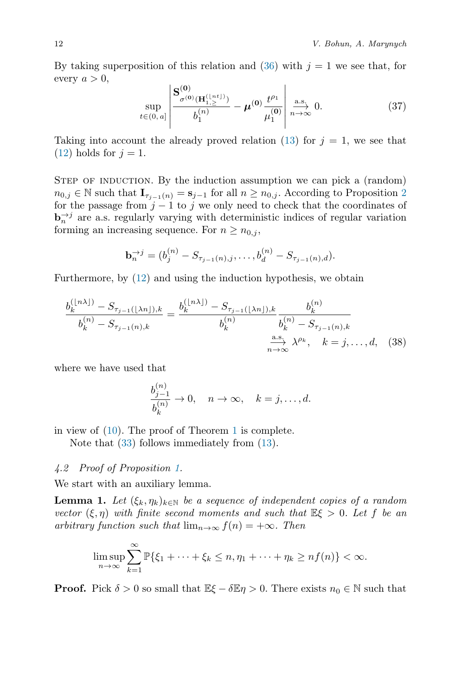By taking superposition of this relation and [\(36\)](#page-10-2) with  $j = 1$  we see that, for every  $a > 0$ ,

<span id="page-11-2"></span>
$$
\sup_{t \in (0, a]} \left| \frac{\mathbf{S}_{\sigma^{(0)}(\mathbf{H}_{1, \ge 0}^{(\lfloor nt \rfloor)})})}{b_1^{(n)}} - \boldsymbol{\mu}^{(0)} \frac{t^{\rho_1}}{\mu_1^{(0)}} \right| \xrightarrow[n \to \infty]{\text{a.s.}} 0. \tag{37}
$$

Taking into account the already proved relation [\(13\)](#page-5-4) for  $j = 1$ , we see that  $(12)$  holds for  $j = 1$ .

STEP OF INDUCTION. By the induction assumption we can pick a (random)  $n_{0,j} \in \mathbb{N}$  such that  $\mathbf{I}_{\tau_{j-1}(n)} = \mathbf{s}_{j-1}$  for all  $n \geq n_{0,j}$ . According to Proposition [2](#page-8-4) for the passage from  $j-1$  to j we only need to check that the coordinates of  $\mathbf{b}_n^{\rightarrow j}$  are a.s. regularly varying with deterministic indices of regular variation forming an increasing sequence. For  $n \geq n_{0,i}$ ,

$$
\mathbf{b}_n^{\to j} = (b_j^{(n)} - S_{\tau_{j-1}(n),j}, \dots, b_d^{(n)} - S_{\tau_{j-1}(n),d}).
$$

Furthermore, by [\(12\)](#page-5-5) and using the induction hypothesis, we obtain

$$
\frac{b_k^{(\lfloor n\lambda \rfloor)} - S_{\tau_{j-1}(\lfloor \lambda n \rfloor),k}}{b_k^{(n)} - S_{\tau_{j-1}(n),k}} = \frac{b_k^{(\lfloor n\lambda \rfloor)} - S_{\tau_{j-1}(\lfloor \lambda n \rfloor),k}}{b_k^{(n)}} \frac{b_k^{(n)}}{b_k^{(n)} - S_{\tau_{j-1}(n),k}}
$$
\n
$$
\xrightarrow[n \to \infty]{\text{a.s.}} \lambda^{\rho_k}, \quad k = j, \dots, d, \quad (38)
$$

where we have used that

<span id="page-11-0"></span>
$$
\frac{b_{j-1}^{(n)}}{b_k^{(n)}} \to 0, \quad n \to \infty, \quad k = j, \dots, d.
$$

in view of [\(10\)](#page-4-2). The proof of Theorem [1](#page-5-3) is complete.

Note that  $(33)$  follows immediately from  $(13)$ .

#### 4.2 Proof of Proposition [1.](#page-6-1)

We start with an auxiliary lemma.

<span id="page-11-1"></span>**Lemma 1.** Let  $(\xi_k, \eta_k)_{k \in \mathbb{N}}$  be a sequence of independent copies of a random vector  $(\xi, \eta)$  with finite second moments and such that  $\mathbb{E}\xi > 0$ . Let f be an arbitrary function such that  $\lim_{n\to\infty} f(n) = +\infty$ . Then

$$
\limsup_{n\to\infty}\sum_{k=1}^{\infty}\mathbb{P}\{\xi_1+\cdots+\xi_k\leq n,\eta_1+\cdots+\eta_k\geq nf(n)\}<\infty.
$$

**Proof.** Pick  $\delta > 0$  so small that  $\mathbb{E}\xi - \delta \mathbb{E}\eta > 0$ . There exists  $n_0 \in \mathbb{N}$  such that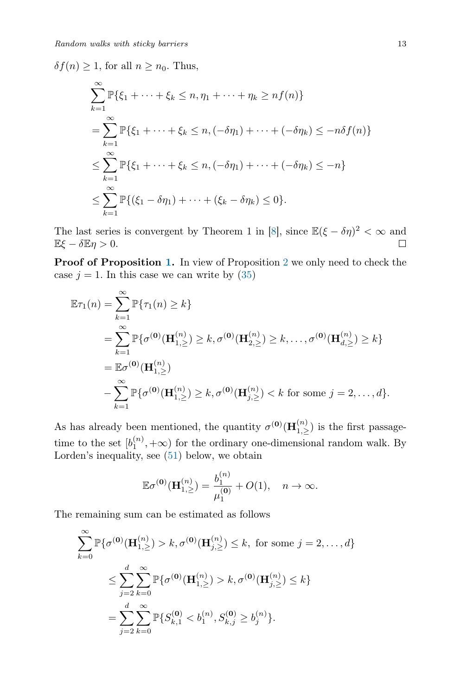$\delta f(n) \geq 1$ , for all  $n \geq n_0$ . Thus,

$$
\sum_{k=1}^{\infty} \mathbb{P}\{\xi_1 + \dots + \xi_k \le n, \eta_1 + \dots + \eta_k \ge nf(n)\}
$$
  
= 
$$
\sum_{k=1}^{\infty} \mathbb{P}\{\xi_1 + \dots + \xi_k \le n, (-\delta \eta_1) + \dots + (-\delta \eta_k) \le -n\delta f(n)\}
$$
  

$$
\le \sum_{k=1}^{\infty} \mathbb{P}\{\xi_1 + \dots + \xi_k \le n, (-\delta \eta_1) + \dots + (-\delta \eta_k) \le -n\}
$$
  

$$
\le \sum_{k=1}^{\infty} \mathbb{P}\{(\xi_1 - \delta \eta_1) + \dots + (\xi_k - \delta \eta_k) \le 0\}.
$$

The last series is convergent by Theorem 1 in [\[8\]](#page-19-4), since  $\mathbb{E}(\xi - \delta \eta)^2 < \infty$  and  $\mathbb{E}\xi - \delta \mathbb{E}\eta > 0.$ П

**Proof of Proposition [1.](#page-6-1)** In view of Proposition [2](#page-8-4) we only need to check the case  $j = 1$ . In this case we can write by [\(35\)](#page-10-1)

$$
\mathbb{E}\tau_1(n) = \sum_{k=1}^{\infty} \mathbb{P}\{\tau_1(n) \ge k\}
$$
  
= 
$$
\sum_{k=1}^{\infty} \mathbb{P}\{\sigma^{(0)}(\mathbf{H}_{1,\ge}^{(n)}) \ge k, \sigma^{(0)}(\mathbf{H}_{2,\ge}^{(n)}) \ge k, ..., \sigma^{(0)}(\mathbf{H}_{d,\ge}^{(n)}) \ge k\}
$$
  
= 
$$
\mathbb{E}\sigma^{(0)}(\mathbf{H}_{1,\ge}^{(n)})
$$
  
- 
$$
\sum_{k=1}^{\infty} \mathbb{P}\{\sigma^{(0)}(\mathbf{H}_{1,\ge}^{(n)}) \ge k, \sigma^{(0)}(\mathbf{H}_{j,\ge}^{(n)}) < k \text{ for some } j = 2, ..., d\}.
$$

As has already been mentioned, the quantity  $\sigma^{(0)}(\mathbf{H}_{1,\geq}^{(n)})$  is the first passagetime to the set  $[b_1^{(n)}, +\infty)$  for the ordinary one-dimensional random walk. By Lorden's inequality, see [\(51\)](#page-17-0) below, we obtain

$$
\mathbb{E}\sigma^{(0)}(\mathbf{H}_{1,\geq}^{(n)}) = \frac{b_1^{(n)}}{\mu_1^{(0)}} + O(1), \quad n \to \infty.
$$

The remaining sum can be estimated as follows

$$
\sum_{k=0}^{\infty} \mathbb{P}\{\sigma^{(0)}(\mathbf{H}_{1,\ge}^{(n)}) > k, \sigma^{(0)}(\mathbf{H}_{j,\ge}^{(n)}) \le k, \text{ for some } j = 2, ..., d\}
$$
  

$$
\le \sum_{j=2}^{d} \sum_{k=0}^{\infty} \mathbb{P}\{\sigma^{(0)}(\mathbf{H}_{1,\ge}^{(n)}) > k, \sigma^{(0)}(\mathbf{H}_{j,\ge}^{(n)}) \le k\}
$$
  

$$
= \sum_{j=2}^{d} \sum_{k=0}^{\infty} \mathbb{P}\{S_{k,1}^{(0)} < b_{1}^{(n)}, S_{k,j}^{(0)} \ge b_{j}^{(n)}\}.
$$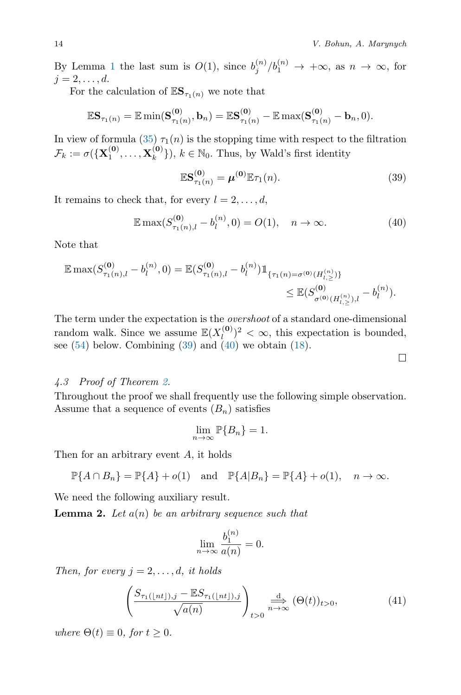$\Box$ 

By Lemma [1](#page-11-1) the last sum is  $O(1)$ , since  $b_j^{(n)}/b_1^{(n)} \to +\infty$ , as  $n \to \infty$ , for  $j=2,\ldots,d.$ 

For the calculation of  $\mathbb{E}S_{\tau_1(n)}$  we note that

$$
\mathbb{E} \mathbf{S}_{\tau_1(n)} = \mathbb{E} \min(\mathbf{S}_{\tau_1(n)}^{(\mathbf{0})}, \mathbf{b}_n) = \mathbb{E} \mathbf{S}_{\tau_1(n)}^{(\mathbf{0})} - \mathbb{E} \max(\mathbf{S}_{\tau_1(n)}^{(\mathbf{0})} - \mathbf{b}_n, 0).
$$

In view of formula [\(35\)](#page-10-1)  $\tau_1(n)$  is the stopping time with respect to the filtration  $\mathcal{F}_k := \sigma(\{\mathbf{X}_1^{(\mathbf{0})}, \dots, \mathbf{X}_k^{(\mathbf{0})}$  ${k<sup>(0)</sup> \choose k}, k \in \mathbb{N}_0$ . Thus, by Wald's first identity

<span id="page-13-0"></span>
$$
\mathbb{E}S_{\tau_1(n)}^{(0)} = \boldsymbol{\mu}^{(0)}\mathbb{E}\tau_1(n). \tag{39}
$$

It remains to check that, for every  $l = 2, \ldots, d$ ,

<span id="page-13-1"></span>
$$
\mathbb{E}\max(S_{\tau_1(n),l}^{(0)} - b_l^{(n)}, 0) = O(1), \quad n \to \infty.
$$
 (40)

Note that

$$
\mathbb{E} \max(S_{\tau_1(n),l}^{(0)} - b_l^{(n)}, 0) = \mathbb{E}(S_{\tau_1(n),l}^{(0)} - b_l^{(n)}) \mathbb{1}_{\{\tau_1(n) = \sigma^{(0)}(H_{l,\ge}^{(n)})\}} \le \mathbb{E}(S_{\sigma^{(0)}(H_{l,\ge}^{(n)}),l}^{(0)} - b_l^{(n)}).
$$

The term under the expectation is the overshoot of a standard one-dimensional random walk. Since we assume  $\mathbb{E}(X_l^{(0)})$  $\binom{(\mathbf{0})}{l}^2 < \infty$ , this expectation is bounded, see  $(54)$  below. Combining  $(39)$  and  $(40)$  we obtain  $(18)$ .

#### 4.3 Proof of Theorem [2.](#page-7-1)

Throughout the proof we shall frequently use the following simple observation. Assume that a sequence of events  $(B_n)$  satisfies

$$
\lim_{n \to \infty} \mathbb{P}\{B_n\} = 1.
$$

Then for an arbitrary event A, it holds

$$
\mathbb{P}\{A \cap B_n\} = \mathbb{P}\{A\} + o(1) \quad \text{and} \quad \mathbb{P}\{A|B_n\} = \mathbb{P}\{A\} + o(1), \quad n \to \infty.
$$

We need the following auxiliary result.

<span id="page-13-3"></span>**Lemma 2.** Let  $a(n)$  be an arbitrary sequence such that

$$
\lim_{n \to \infty} \frac{b_1^{(n)}}{a(n)} = 0.
$$

Then, for every  $j = 2, \ldots, d$ , it holds

<span id="page-13-2"></span>
$$
\left(\frac{S_{\tau_1(\lfloor nt \rfloor),j} - \mathbb{E}S_{\tau_1(\lfloor nt \rfloor),j}}{\sqrt{a(n)}}\right)_{t>0} \xrightarrow[n \to \infty]{\text{d}} (\Theta(t))_{t>0},\tag{41}
$$

where  $\Theta(t) \equiv 0$ , for  $t \geq 0$ .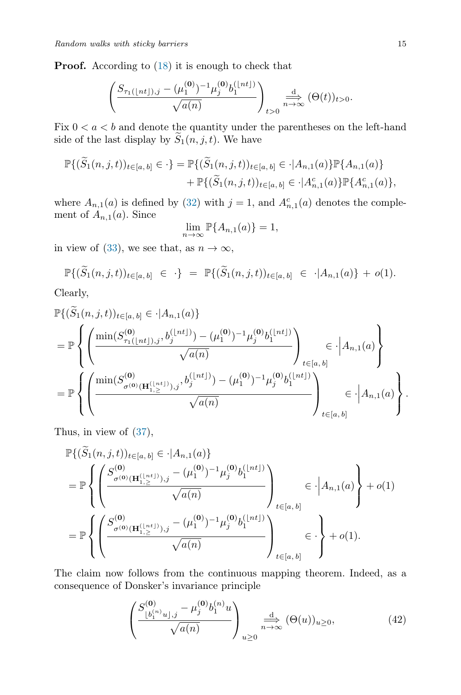**Proof.** According to  $(18)$  it is enough to check that

$$
\left(\frac{S_{\tau_1(\lfloor nt \rfloor),j} - (\mu_1^{(0)})^{-1} \mu_j^{(0)} b_1^{\lfloor nt \rfloor)}}{\sqrt{a(n)}}\right)_{t>0} \stackrel{d}{\underset{n \to \infty}{\longrightarrow}} (\Theta(t))_{t>0}.
$$

Fix  $0 < a < b$  and denote the quantity under the parentheses on the left-hand side of the last display by  $\widetilde{S}_1(n, j, t)$ . We have

$$
\mathbb{P}\{(\widetilde{S}_1(n,j,t))_{t\in[a,b]}\in \cdot\} = \mathbb{P}\{(\widetilde{S}_1(n,j,t))_{t\in[a,b]}\in \cdot | A_{n,1}(a)\}\mathbb{P}\{A_{n,1}(a)\} + \mathbb{P}\{(\widetilde{S}_1(n,j,t))_{t\in[a,b]}\in \cdot | A_{n,1}^c(a)\}\mathbb{P}\{A_{n,1}^c(a)\},
$$

where  $A_{n,1}(a)$  is defined by [\(32\)](#page-9-0) with  $j = 1$ , and  $A_{n,1}^c(a)$  denotes the complement of  $A_{n,1}(a)$ . Since

$$
\lim_{n \to \infty} \mathbb{P}\{A_{n,1}(a)\} = 1,
$$

in view of [\(33\)](#page-9-3), we see that, as  $n \to \infty$ ,

$$
\mathbb{P}\{(\widetilde{S}_1(n,j,t))_{t\in[a,b]}\in\cdot\} = \mathbb{P}\{(\widetilde{S}_1(n,j,t))_{t\in[a,b]}\in\cdot|A_{n,1}(a)\}+o(1).
$$

Clearly,

$$
\mathbb{P}\{(\widetilde{S}_{1}(n,j,t))_{t\in[a,b]} \in \cdot | A_{n,1}(a)\}\n= \mathbb{P}\left\{\left(\frac{\min(S_{\tau_{1}(\lfloor nt \rfloor),j}^{(0)},b_{j}^{(\lfloor nt \rfloor)})-(\mu_{1}^{(0)})^{-1}\mu_{j}^{(0)}b_{1}^{(\lfloor nt \rfloor)}}{\sqrt{a(n)}}\right)_{t\in[a,b]}\in \cdot | A_{n,1}(a)\n\right\}\n= \mathbb{P}\left\{\left(\frac{\min(S_{\sigma^{(0)}(\mathbf{H}_{1,\geq}^{(\lfloor nt \rfloor)},j},b_{j}^{(\lfloor nt \rfloor)})-(\mu_{1}^{(0)})^{-1}\mu_{j}^{(0)}b_{1}^{(\lfloor nt \rfloor)}}{\sqrt{a(n)}}\right)_{t\in[a,b]}\in \cdot | A_{n,1}(a)\n\right\}.
$$

Thus, in view of [\(37\)](#page-11-2),

$$
\mathbb{P}\{(\tilde{S}_{1}(n,j,t))_{t\in[a,b]} \in \cdot | A_{n,1}(a) \}
$$
\n
$$
= \mathbb{P}\left\{ \left( \frac{S_{\sigma^{(0)}(\mathbf{H}_{1,\ge}^{(\lfloor nt \rfloor)}),j} - (\mu_1^{(0)})^{-1} \mu_j^{(0)} b_1^{(\lfloor nt \rfloor)}}{\sqrt{a(n)}} \right)_{t\in[a,b]} \in \cdot | A_{n,1}(a) \right\} + o(1)
$$
\n
$$
= \mathbb{P}\left\{ \left( \frac{S_{\sigma^{(0)}(\mathbf{H}_{1,\ge}^{(\lfloor nt \rfloor)}),j} - (\mu_1^{(0)})^{-1} \mu_j^{(0)} b_1^{(\lfloor nt \rfloor)}}{\sqrt{a(n)}} \right)_{t\in[a,b]} \in \cdot \right\} + o(1).
$$

The claim now follows from the continuous mapping theorem. Indeed, as a consequence of Donsker's invariance principle

<span id="page-14-0"></span>
$$
\left(\frac{S^{(\mathbf{0})}_{\lfloor b_1^{(n)} u \rfloor,j} - \mu_j^{(\mathbf{0})} b_1^{(n)} u}{\sqrt{a(n)}}\right)_{u \ge 0} \xrightarrow[n \to \infty]{\text{d}} (\Theta(u))_{u \ge 0},
$$
\n(42)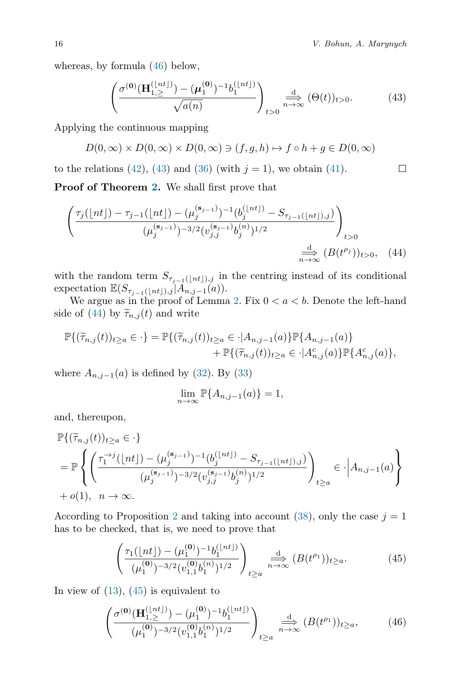<span id="page-15-2"></span> $\Box$ 

whereas, by formula [\(46\)](#page-15-0) below,

<span id="page-15-1"></span>
$$
\left(\frac{\sigma^{(\mathbf{0})}(\mathbf{H}_{1,\geq}^{(\lfloor nt \rfloor)}) - (\mu_1^{(\mathbf{0})})^{-1} b_1^{(\lfloor nt \rfloor)}}{\sqrt{a(n)}}\right)_{t>0} \stackrel{d}{\underset{n\to\infty}{\longrightarrow}} (\Theta(t))_{t>0}.\tag{43}
$$

Applying the continuous mapping

$$
D(0,\infty) \times D(0,\infty) \times D(0,\infty) \ni (f,g,h) \mapsto f \circ h + g \in D(0,\infty)
$$

to the relations [\(42\)](#page-14-0), [\(43\)](#page-15-1) and [\(36\)](#page-10-2) (with  $j = 1$ ), we obtain [\(41\)](#page-13-2).

Proof of Theorem [2.](#page-7-1) We shall first prove that

$$
\left(\frac{\tau_j(\lfloor nt \rfloor) - \tau_{j-1}(\lfloor nt \rfloor) - (\mu_j^{(\mathbf{s}_{j-1})})^{-1} (b_j^{(\lfloor nt \rfloor)} - S_{\tau_{j-1}(\lfloor nt \rfloor),j})}{(\mu_j^{(\mathbf{s}_{j-1})})^{-3/2} (v_{j,j}^{(\mathbf{s}_{j-1})} b_j^{(n)})^{1/2}}\right)_{t>0}
$$
\n
$$
\stackrel{\text{d}}{\underset{n\to\infty}{\longrightarrow}} (B(t^{\rho_j}))_{t>0}, \quad (44)
$$

with the random term  $S_{\tau_{j-1}([nt]),j}$  in the centring instead of its conditional expectation  $\mathbb{E}(S_{\tau_{j-1}(\lfloor nt\rfloor),j} | A_{n,j-1}(a)).$ 

We argue as in the proof of Lemma [2.](#page-13-3) Fix  $0 < a < b$ . Denote the left-hand side of [\(44\)](#page-15-2) by  $\widetilde{\tau}_{n,j}(t)$  and write

$$
\mathbb{P}\{(\tilde{\tau}_{n,j}(t))_{t\geq a}\in \cdot\} = \mathbb{P}\{(\tilde{\tau}_{n,j}(t))_{t\geq a}\in \cdot | A_{n,j-1}(a)\}\mathbb{P}\{A_{n,j-1}(a)\} + \mathbb{P}\{(\tilde{\tau}_{n,j}(t))_{t\geq a}\in \cdot | A_{n,j}^c(a)\}\mathbb{P}\{A_{n,j}^c(a)\},
$$

where  $A_{n,j-1}(a)$  is defined by [\(32\)](#page-9-0). By [\(33\)](#page-9-3)

$$
\lim_{n \to \infty} \mathbb{P}\{A_{n,j-1}(a)\} = 1,
$$

and, thereupon,

$$
\begin{split} &\mathbb{P}\{(\widetilde{\tau}_{n,j}(t))_{t\geq a}\in\cdot\}\\ &=\mathbb{P}\left\{\left(\frac{\tau_1^{-\cdot j}(\lfloor nt\rfloor)-(\mu_j^{(\mathbf{s}_{j-1})})^{-1}(b_j^{\lfloor nt\rfloor)}-S_{\tau_{j-1}(\lfloor nt\rfloor),j})}{(\mu_j^{(\mathbf{s}_{j-1})})^{-3/2}(v_{j,j}^{(\mathbf{s}_{j-1})}b_j^{(n)})^{1/2}}\right)_{t\geq a}\in\cdot\Big|A_{n,j-1}(a)\right\}\\ &+o(1),\;\;n\rightarrow\infty. \end{split}
$$

According to Proposition [2](#page-8-4) and taking into account [\(38\)](#page-11-0), only the case  $j = 1$ has to be checked, that is, we need to prove that

<span id="page-15-3"></span>
$$
\left(\frac{\tau_1(\lfloor nt \rfloor) - (\mu_1^{(0)})^{-1} b_1^{\lfloor nt \rfloor)}}{(\mu_1^{(0)})^{-3/2} (v_{1,1}^{(0)} b_1^{(n)})^{1/2}}\right)_{t \ge a} \xrightarrow[n \to \infty]{} (B(t^{\rho_1}))_{t \ge a}.
$$
\n(45)

In view of  $(13)$ ,  $(45)$  is equivalent to

<span id="page-15-0"></span>
$$
\left(\frac{\sigma^{(0)}(\mathbf{H}_{1,\ge}^{(\lfloor nt \rfloor)}) - (\mu_1^{(0)})^{-1} b_1^{(\lfloor nt \rfloor)} }{(\mu_1^{(0)})^{-3/2} (v_{1,1}^{(0)} b_1^{(n)})^{1/2}}\right)_{t \ge a} \xrightarrow[n \to \infty]{\text{d}} (B(t^{\rho_1}))_{t \ge a}, \tag{46}
$$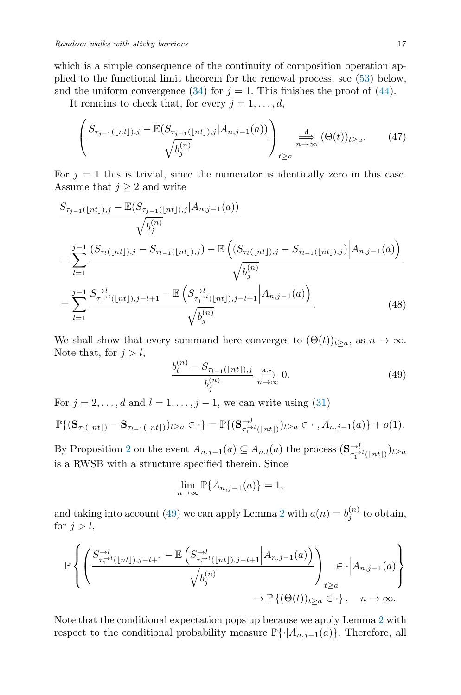which is a simple consequence of the continuity of composition operation applied to the functional limit theorem for the renewal process, see [\(53\)](#page-18-4) below, and the uniform convergence [\(34\)](#page-10-0) for  $j = 1$ . This finishes the proof of [\(44\)](#page-15-2).

It remains to check that, for every  $j = 1, \ldots, d$ ,

<span id="page-16-2"></span>
$$
\left(\frac{S_{\tau_{j-1}(\lfloor nt\rfloor),j}-\mathbb{E}(S_{\tau_{j-1}(\lfloor nt\rfloor),j}|A_{n,j-1}(a))}{\sqrt{b_j^{(n)}}}\right)_{t\geq a}\xrightarrow[n\to\infty]{\frac{d}{n\to\infty}}(\Theta(t))_{t\geq a}.\tag{47}
$$

For  $j = 1$  this is trivial, since the numerator is identically zero in this case. Assume that  $j \geq 2$  and write

$$
S_{\tau_{j-1}(\lfloor nt \rfloor),j} - \mathbb{E}(S_{\tau_{j-1}(\lfloor nt \rfloor),j}|A_{n,j-1}(a))
$$
  
\n
$$
\sqrt{b_j^{(n)}}
$$
  
\n
$$
= \sum_{l=1}^{j-1} \frac{(S_{\tau_l(\lfloor nt \rfloor),j} - S_{\tau_{l-1}(\lfloor nt \rfloor),j}) - \mathbb{E}\left((S_{\tau_l(\lfloor nt \rfloor),j} - S_{\tau_{l-1}(\lfloor nt \rfloor),j})\Big|A_{n,j-1}(a)\right)}{\sqrt{b_j^{(n)}}}
$$
  
\n
$$
= \sum_{l=1}^{j-1} \frac{S_{\tau_1^{l-1}(\lfloor nt \rfloor),j-l+1}^{-1} - \mathbb{E}\left(S_{\tau_1^{l-1}(\lfloor nt \rfloor),j-l+1}^{-1}\Big|A_{n,j-1}(a)\right)}{\sqrt{b_j^{(n)}}}. \tag{48}
$$

We shall show that every summand here converges to  $(\Theta(t))_{t>a}$ , as  $n \to \infty$ . Note that, for  $j > l$ ,

<span id="page-16-1"></span><span id="page-16-0"></span>
$$
\frac{b_l^{(n)} - S_{\tau_{l-1}(\lfloor nt \rfloor),j}}{b_j^{(n)}} \xrightarrow[n \to \infty]{\text{a.s.}} 0.
$$
 (49)

For  $j = 2, \ldots, d$  and  $l = 1, \ldots, j - 1$ , we can write using [\(31\)](#page-9-5)

$$
\mathbb{P}\{(\mathbf{S}_{\tau_l(\lfloor nt \rfloor)} - \mathbf{S}_{\tau_{l-1}(\lfloor nt \rfloor)})_{t \geq a} \in \cdot\} = \mathbb{P}\{(\mathbf{S}_{\tau_1^{-l}(\lfloor nt \rfloor)}^{-l})_{t \geq a} \in \cdot\,, A_{n,j-1}(a)\} + o(1).
$$

By Proposition [2](#page-8-4) on the event  $A_{n,j-1}(a) \subseteq A_{n,l}(a)$  the process  $(\mathbf{S}_{\tau_1^{-l}(\lfloor nt \rfloor)}^{-l})_{t \ge a}$ is a RWSB with a structure specified therein. Since

$$
\lim_{n \to \infty} \mathbb{P}\{A_{n,j-1}(a)\} = 1,
$$

and taking into account [\(49\)](#page-16-0) we can apply Lemma [2](#page-13-3) with  $a(n) = b_j^{(n)}$  to obtain, for  $j > l$ ,

$$
\mathbb{P}\left\{\left(\frac{S_{\tau_1^{-\lambda l}(\lfloor nt\rfloor),j-l+1}^{-\lambda l}-\mathbb{E}\left(S_{\tau_1^{-\lambda l}(\lfloor nt\rfloor),j-l+1}^{-\lambda l}\middle|A_{n,j-1}(a)\right)}{\sqrt{b_j^{(n)}}}\right)_{t\geq a}\in\cdot\left|A_{n,j-1}(a)\right\}\n\to \mathbb{P}\left\{(\Theta(t))_{t\geq a}\in\cdot\right\},\quad n\to\infty.
$$

Note that the conditional expectation pops up because we apply Lemma [2](#page-13-3) with respect to the conditional probability measure  $\mathbb{P}\{\cdot | A_{n,j-1}(a)\}\.$  Therefore, all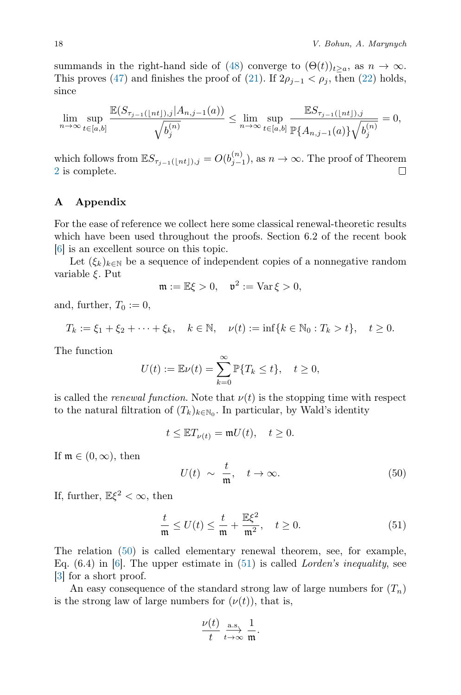summands in the right-hand side of [\(48\)](#page-16-1) converge to  $(\Theta(t))_{t>a}$ , as  $n \to \infty$ . This proves [\(47\)](#page-16-2) and finishes the proof of [\(21\)](#page-7-0). If  $2\rho_{j-1} < \rho_j$ , then [\(22\)](#page-7-2) holds, since

$$
\lim_{n \to \infty} \sup_{t \in [a,b]} \frac{\mathbb{E}(S_{\tau_{j-1}(\lfloor nt \rfloor),j}|A_{n,j-1}(a))}{\sqrt{b_j^{(n)}}} \leq \lim_{n \to \infty} \sup_{t \in [a,b]} \frac{\mathbb{E}S_{\tau_{j-1}(\lfloor nt \rfloor),j}}{\mathbb{P}\{A_{n,j-1}(a)\}\sqrt{b_j^{(n)}}} = 0,
$$

which follows from  $\mathbb{E}S_{\tau_{j-1}(\lfloor nt \rfloor),j} = O(b_{j-1}^{(n)})$ , as  $n \to \infty$ . The proof of Theorem  $\Box$ [2](#page-7-1) is complete.

# A Appendix

For the ease of reference we collect here some classical renewal-theoretic results which have been used throughout the proofs. Section 6.2 of the recent book [\[6\]](#page-19-5) is an excellent source on this topic.

Let  $(\xi_k)_{k\in\mathbb{N}}$  be a sequence of independent copies of a nonnegative random variable ξ. Put

$$
\mathfrak{m} := \mathbb{E}\xi > 0, \quad \mathfrak{v}^2 := \text{Var}\,\xi > 0,
$$

and, further,  $T_0 := 0$ ,

$$
T_k := \xi_1 + \xi_2 + \dots + \xi_k, \quad k \in \mathbb{N}, \quad \nu(t) := \inf\{k \in \mathbb{N}_0 : T_k > t\}, \quad t \ge 0.
$$

The function

$$
U(t) := \mathbb{E}\nu(t) = \sum_{k=0}^{\infty} \mathbb{P}\{T_k \le t\}, \quad t \ge 0,
$$

is called the *renewal function*. Note that  $\nu(t)$  is the stopping time with respect to the natural filtration of  $(T_k)_{k \in \mathbb{N}_0}$ . In particular, by Wald's identity

$$
t \leq \mathbb{E} T_{\nu(t)} = \mathfrak{m} U(t), \quad t \geq 0.
$$

If  $\mathfrak{m} \in (0,\infty)$ , then

<span id="page-17-1"></span>
$$
U(t) \sim \frac{t}{\mathfrak{m}}, \quad t \to \infty. \tag{50}
$$

If, further,  $\mathbb{E}\xi^2 < \infty$ , then

<span id="page-17-0"></span>
$$
\frac{t}{\mathfrak{m}} \le U(t) \le \frac{t}{\mathfrak{m}} + \frac{\mathbb{E}\xi^2}{\mathfrak{m}^2}, \quad t \ge 0.
$$
 (51)

The relation [\(50\)](#page-17-1) is called elementary renewal theorem, see, for example, Eq.  $(6.4)$  in  $[6]$ . The upper estimate in  $(51)$  is called *Lorden's inequality*, see [\[3\]](#page-18-5) for a short proof.

An easy consequence of the standard strong law of large numbers for  $(T_n)$ is the strong law of large numbers for  $(\nu(t))$ , that is,

$$
\frac{\nu(t)}{t} \underset{t \to \infty}{\overset{\text{a.s.}}{\longrightarrow}} \frac{1}{\mathfrak{m}}.
$$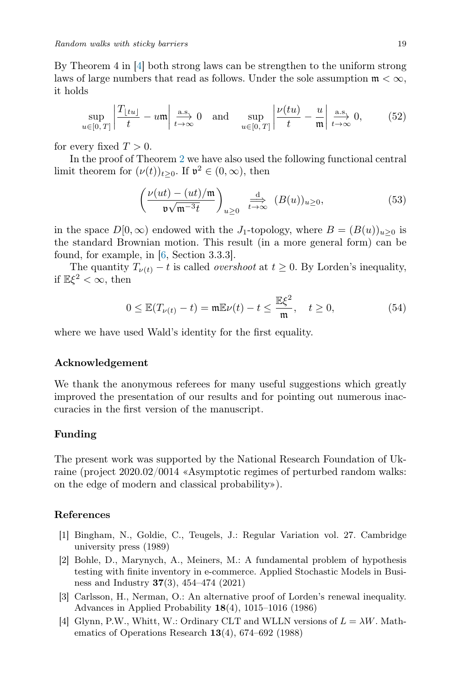By Theorem 4 in [\[4\]](#page-18-6) both strong laws can be strengthen to the uniform strong laws of large numbers that read as follows. Under the sole assumption  $\mathfrak{m} < \infty$ , it holds

<span id="page-18-2"></span>
$$
\sup_{u \in [0,T]} \left| \frac{T_{\lfloor tu \rfloor}}{t} - u \right| \xrightarrow[t \to \infty]{\text{a.s.}} 0 \quad \text{and} \quad \sup_{u \in [0,T]} \left| \frac{\nu(tu)}{t} - \frac{u}{\mathfrak{m}} \right| \xrightarrow[t \to \infty]{\text{a.s.}} 0,
$$
 (52)

for every fixed  $T > 0$ .

In the proof of Theorem [2](#page-7-1) we have also used the following functional central limit theorem for  $(\nu(t))_{t\geq 0}$ . If  $\mathfrak{v}^2 \in (0,\infty)$ , then

<span id="page-18-4"></span>
$$
\left(\frac{\nu(ut)-(ut)/\mathfrak{m}}{\mathfrak{v}\sqrt{\mathfrak{m}^{-3}t}}\right)_{u\geq 0} \xrightarrow[t\to\infty]{} (B(u))_{u\geq 0},\tag{53}
$$

in the space  $D[0,\infty)$  endowed with the J<sub>1</sub>-topology, where  $B = (B(u))_{u>0}$  is the standard Brownian motion. This result (in a more general form) can be found, for example, in [\[6,](#page-19-5) Section 3.3.3].

The quantity  $T_{\nu(t)} - t$  is called *overshoot* at  $t \geq 0$ . By Lorden's inequality, if  $\mathbb{E}\xi^2 < \infty$ , then

<span id="page-18-3"></span>
$$
0 \leq \mathbb{E}(T_{\nu(t)} - t) = \mathfrak{m}\mathbb{E}\nu(t) - t \leq \frac{\mathbb{E}\xi^2}{\mathfrak{m}}, \quad t \geq 0,
$$
 (54)

where we have used Wald's identity for the first equality.

#### Acknowledgement

We thank the anonymous referees for many useful suggestions which greatly improved the presentation of our results and for pointing out numerous inaccuracies in the first version of the manuscript.

#### Funding

The present work was supported by the National Research Foundation of Ukraine (project 2020.02/0014 «Asymptotic regimes of perturbed random walks: on the edge of modern and classical probability»).

# References

- <span id="page-18-1"></span>[1] Bingham, N., Goldie, C., Teugels, J.: Regular Variation vol. 27. Cambridge university press (1989)
- <span id="page-18-0"></span>[2] Bohle, D., Marynych, A., Meiners, M.: A fundamental problem of hypothesis testing with finite inventory in e-commerce. Applied Stochastic Models in Business and Industry  $37(3)$ , 454–474 (2021)
- <span id="page-18-5"></span>[3] Carlsson, H., Nerman, O.: An alternative proof of Lorden's renewal inequality. Advances in Applied Probability 18(4), 1015–1016 (1986)
- <span id="page-18-6"></span>[4] Glynn, P.W., Whitt, W.: Ordinary CLT and WLLN versions of  $L = \lambda W$ . Mathematics of Operations Research 13(4), 674–692 (1988)